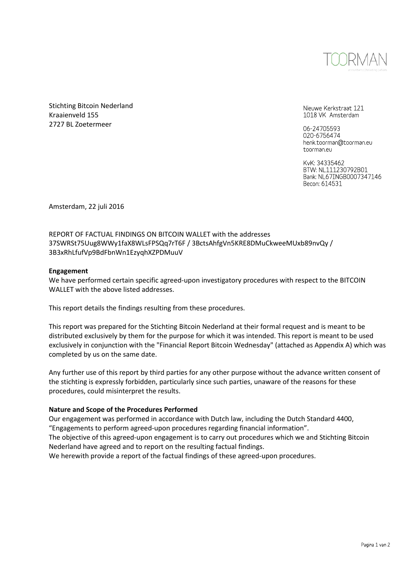

Stichting Bitcoin Nederland Kraaienveld 155 2727 BL Zoetermeer

Nieuwe Kerkstraat 121 1018 VK Amsterdam

06-24705593 020-6756474 henk.toorman@toorman.eu toorman.eu

KvK: 34335462 BTW: NL111230792B01 Bank: NL67INGB0007347146 Becon: 614531

Amsterdam, 22 juli 2016

## REPORT OF FACTUAL FINDINGS ON BITCOIN WALLET with the addresses 37SWRSt75Uug8WWy1faX8WLsFPSQq7rT6F / 3BctsAhfgVn5KRE8DMuCkweeMUxb89nvQy / 3B3xRhLfufVp9BdFbnWn1EzyqhXZPDMuuV

#### **Engagement**

We have performed certain specific agreed-upon investigatory procedures with respect to the BITCOIN WALLET with the above listed addresses.

This report details the findings resulting from these procedures.

This report was prepared for the Stichting Bitcoin Nederland at their formal request and is meant to be distributed exclusively by them for the purpose for which it was intended. This report is meant to be used exclusively in conjunction with the "Financial Report Bitcoin Wednesday" (attached as Appendix A) which was completed by us on the same date.

Any further use of this report by third parties for any other purpose without the advance written consent of the stichting is expressly forbidden, particularly since such parties, unaware of the reasons for these procedures, could misinterpret the results.

#### **Nature and Scope of the Procedures Performed**

Our engagement was performed in accordance with Dutch law, including the Dutch Standard 4400, "Engagements to perform agreed-upon procedures regarding financial information". The objective of this agreed-upon engagement is to carry out procedures which we and Stichting Bitcoin Nederland have agreed and to report on the resulting factual findings.

We herewith provide a report of the factual findings of these agreed-upon procedures.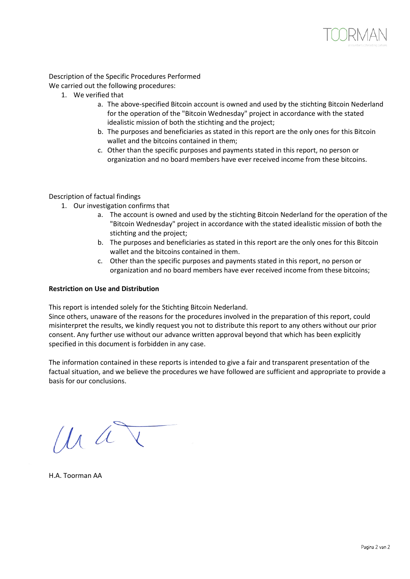

Description of the Specific Procedures Performed

We carried out the following procedures:

- 1. We verified that
	- a. The above-specified Bitcoin account is owned and used by the stichting Bitcoin Nederland for the operation of the "Bitcoin Wednesday" project in accordance with the stated idealistic mission of both the stichting and the project;
	- b. The purposes and beneficiaries as stated in this report are the only ones for this Bitcoin wallet and the bitcoins contained in them;
	- c. Other than the specific purposes and payments stated in this report, no person or organization and no board members have ever received income from these bitcoins.

## Description of factual findings

- 1. Our investigation confirms that
	- a. The account is owned and used by the stichting Bitcoin Nederland for the operation of the "Bitcoin Wednesday" project in accordance with the stated idealistic mission of both the stichting and the project;
	- b. The purposes and beneficiaries as stated in this report are the only ones for this Bitcoin wallet and the bitcoins contained in them.
	- c. Other than the specific purposes and payments stated in this report, no person or organization and no board members have ever received income from these bitcoins;

#### **Restriction on Use and Distribution**

This report is intended solely for the Stichting Bitcoin Nederland.

Since others, unaware of the reasons for the procedures involved in the preparation of this report, could misinterpret the results, we kindly request you not to distribute this report to any others without our prior consent. Any further use without our advance written approval beyond that which has been explicitly specified in this document is forbidden in any case.

The information contained in these reports is intended to give a fair and transparent presentation of the factual situation, and we believe the procedures we have followed are sufficient and appropriate to provide a basis for our conclusions.

 $\mu a$ 

H.A. Toorman AA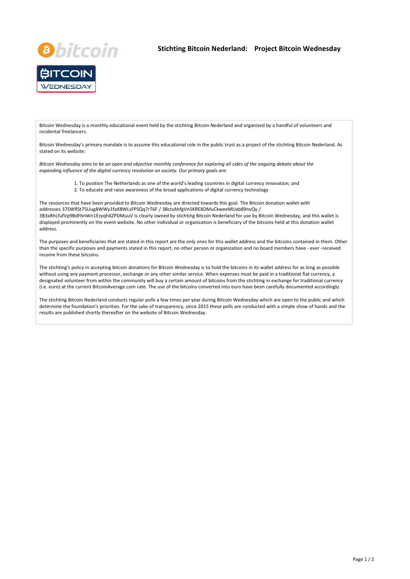



Bitcoin Wednesday is a monthly educational event held by the stichting Bitcoin Nederland and organized by a handful of volunteers and incidental freelancers.

Bitcoin Wednesday's primary mandate is to assume this educational role in the public trust as a project of the stichting Bitcoin Nederland. As stated on its website:

*Bitcoin Wednesday aims to be an open and objective monthly conference for exploring all sides of the ongoing debate about the expanding influence of the digital currency revolution on society. Our primary goals are:*

- 1. To position The Netherlands as one of the world's leading countries in digital currency innovation; and
- 2. To educate and raise awareness of the broad applications of digital currency technology

The resources that have been provided to Bitcoin Wednesday are directed towards this goal. The Bitcoin donation wallet with addresses 37SWRSt75Uug8WWy1faX8WLsFPSQq7rT6F / 3BctsAhfgVn5KRE8DMuCkweeMUxb89nvQy / 3B3xRhLfufVp9BdFbnWn1EzyqhXZPDMuuV is clearly owned by stichting Bitcoin Nederland for use by Bitcoin Wednesday, and this wallet is displayed prominently on the event website. No other individual or organization is beneficiary of the bitcoins held at this donation wallet address.

The purposes and beneficiaries that are stated in this report are the only ones for this wallet address and the bitcoins contained in them. Other than the specific purposes and payments stated in this report, no other person or organization and no board members have ‐ ever ‐received income from these bitcoins.

The stichting's policy in accepting bitcoin donations for Bitcoin Wednesday is to hold the bitcoins in its wallet address for as long as possible without using any payment processor, exchange or any other similar service. When expenses must be paid in a traditional fiat currency, a designated volunteer from within the community will buy a certain amount of bitcoins from the stichting in exchange for traditional currency (i.e. euro) at the current BitcoinAverage.com rate. The use of the bitcoins converted into euro have been carefully documented accordingly.

The stichting Bitcoin Nederland conducts regular polls a few times per year during Bitcoin Wednesday which are open to the public and which determine the foundation's priorities. For the sake of transparency, since 2015 these polls are conducted with a simple show of hands and the results are published shortly thereafter on the website of Bitcoin Wednesday.